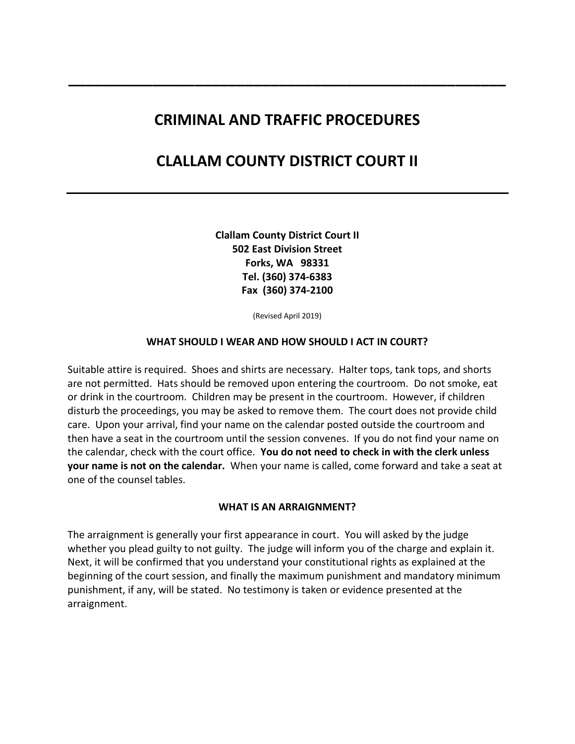## **CRIMINAL AND TRAFFIC PROCEDURES**

**\_\_\_\_\_\_\_\_\_\_\_\_\_\_\_\_\_\_\_\_\_\_\_\_\_\_\_\_\_\_\_\_\_\_\_\_\_\_\_\_\_\_\_\_\_\_\_\_\_\_\_\_**

# **CLALLAM COUNTY DISTRICT COURT II**

**Clallam County District Court II 502 East Division Street Forks, WA 98331 Tel. (360) 374-6383 Fax (360) 374-2100**

(Revised April 2019)

#### **WHAT SHOULD I WEAR AND HOW SHOULD I ACT IN COURT?**

Suitable attire is required. Shoes and shirts are necessary. Halter tops, tank tops, and shorts are not permitted. Hats should be removed upon entering the courtroom. Do not smoke, eat or drink in the courtroom. Children may be present in the courtroom. However, if children disturb the proceedings, you may be asked to remove them. The court does not provide child care. Upon your arrival, find your name on the calendar posted outside the courtroom and then have a seat in the courtroom until the session convenes. If you do not find your name on the calendar, check with the court office. **You do not need to check in with the clerk unless your name is not on the calendar.** When your name is called, come forward and take a seat at one of the counsel tables.

#### **WHAT IS AN ARRAIGNMENT?**

The arraignment is generally your first appearance in court. You will asked by the judge whether you plead guilty to not guilty. The judge will inform you of the charge and explain it. Next, it will be confirmed that you understand your constitutional rights as explained at the beginning of the court session, and finally the maximum punishment and mandatory minimum punishment, if any, will be stated. No testimony is taken or evidence presented at the arraignment.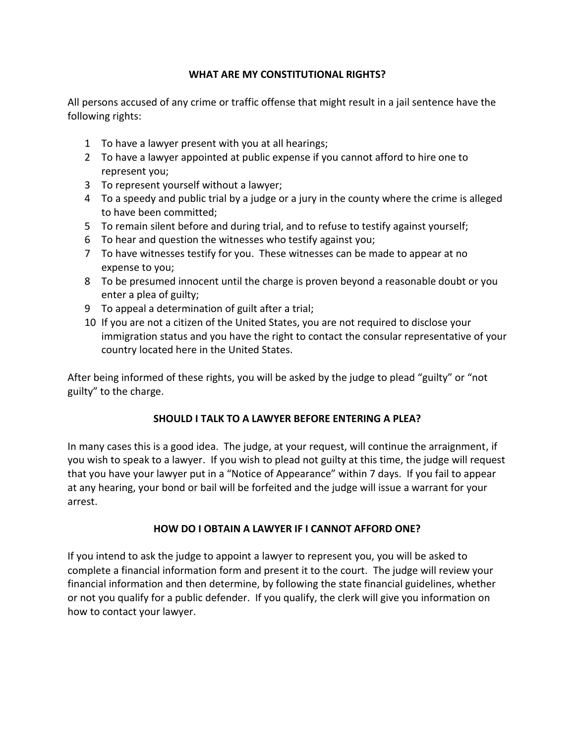#### **WHAT ARE MY CONSTITUTIONAL RIGHTS?**

All persons accused of any crime or traffic offense that might result in a jail sentence have the following rights:

- 1 To have a lawyer present with you at all hearings;
- 2 To have a lawyer appointed at public expense if you cannot afford to hire one to represent you;
- 3 To represent yourself without a lawyer;
- 4 To a speedy and public trial by a judge or a jury in the county where the crime is alleged to have been committed;
- 5 To remain silent before and during trial, and to refuse to testify against yourself;
- 6 To hear and question the witnesses who testify against you;
- 7 To have witnesses testify for you. These witnesses can be made to appear at no expense to you;
- 8 To be presumed innocent until the charge is proven beyond a reasonable doubt or you enter a plea of guilty;
- 9 To appeal a determination of guilt after a trial;
- 10 If you are not a citizen of the United States, you are not required to disclose your immigration status and you have the right to contact the consular representative of your country located here in the United States.

After being informed of these rights, you will be asked by the judge to plead "guilty" or "not guilty" to the charge.

### **SHOULD I TALK TO A LAWYER BEFORE ENTERING A PLEA?**

In many cases this is a good idea. The judge, at your request, will continue the arraignment, if you wish to speak to a lawyer. If you wish to plead not guilty at this time, the judge will request that you have your lawyer put in a "Notice of Appearance" within 7 days. If you fail to appear at any hearing, your bond or bail will be forfeited and the judge will issue a warrant for your arrest.

### **HOW DO I OBTAIN A LAWYER IF I CANNOT AFFORD ONE?**

If you intend to ask the judge to appoint a lawyer to represent you, you will be asked to complete a financial information form and present it to the court. The judge will review your financial information and then determine, by following the state financial guidelines, whether or not you qualify for a public defender. If you qualify, the clerk will give you information on how to contact your lawyer.